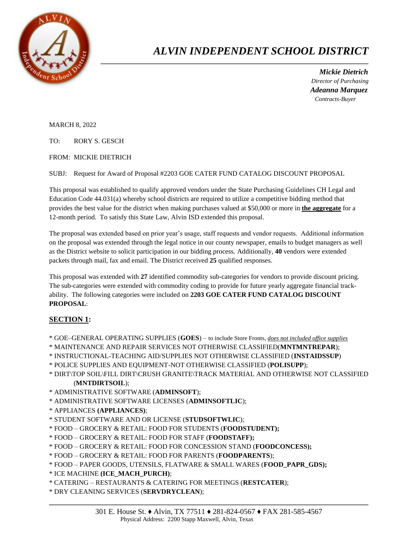

## *ALVIN INDEPENDENT SCHOOL DISTRICT*

 *Mickie Dietrich Director of Purchasing Adeanna Marquez Contracts-Buyer*

MARCH 8, 2022

TO: RORY S. GESCH

FROM: MICKIE DIETRICH

SUBJ: Request for Award of Proposal #2203 GOE CATER FUND CATALOG DISCOUNT PROPOSAL

This proposal was established to qualify approved vendors under the State Purchasing Guidelines CH Legal and Education Code 44.031(a) whereby school districts are required to utilize a competitive bidding method that provides the best value for the district when making purchases valued at \$50,000 or more in **the aggregate** for a 12-month period. To satisfy this State Law, Alvin ISD extended this proposal.

The proposal was extended based on prior year's usage, staff requests and vendor requests. Additional information on the proposal was extended through the legal notice in our county newspaper, emails to budget managers as well as the District website to solicit participation in our bidding process. Additionally, **40** vendors were extended packets through mail, fax and email. The District received **25** qualified responses.

This proposal was extended with **27** identified commodity sub-categories for vendors to provide discount pricing. The sub-categories were extended with commodity coding to provide for future yearly aggregate financial trackability. The following categories were included on **2203 GOE CATER FUND CATALOG DISCOUNT PROPOSAL**:

## **SECTION 1:**

- \* GOE–GENERAL OPERATING SUPPLIES (**GOES**) to include Store Fronts, *does not included office supplies*
- \* MAINTENANCE AND REPAIR SERVICES NOT OTHERWISE CLASSIFIED(**MNTMNTREPAR**);
- \* INSTRUCTIONAL-TEACHING AID/SUPPLIES NOT OTHERWISE CLASSIFIED (**INSTAIDSSUP**)
- \* POLICE SUPPLIES AND EQUIPMENT-NOT OTHERWISE CLASSIFIED (**POLISUPP**);
- \* DIRT\TOP SOIL\FILL DIRT\CRUSH GRANITE\TRACK MATERIAL AND OTHERWISE NOT CLASSIFIED (**MNTDIRTSOIL**);
- \* ADMINISTRATIVE SOFTWARE (**ADMINSOFT**);
- \* ADMINISTRATIVE SOFTWARE LICENSES (**ADMINSOFTLIC**);
- \* APPLIANCES **(APPLIANCES)**;
- \* STUDENT SOFTWARE AND OR LICENSE (**STUDSOFTWLIC**);
- \* FOOD GROCERY & RETAIL: FOOD FOR STUDENTS (**FOODSTUDENT);**
- \* FOOD GROCERY & RETAIL: FOOD FOR STAFF (**FOODSTAFF);**
- \* FOOD GROCERY & RETAIL: FOOD FOR CONCESSION STAND (**FOODCONCESS);**
- \* FOOD GROCERY & RETAIL: FOOD FOR PARENTS (**FOODPARENTS**);
- \* FOOD PAPER GOODS, UTENSILS, FLATWARE & SMALL WARES (**FOOD\_PAPR\_GDS);**
- \* ICE MACHINE **(ICE\_MACH\_PURCH)**;
- \* CATERING RESTAURANTS & CATERING FOR MEETINGS (**RESTCATER**);
- \* DRY CLEANING SERVICES (**SERVDRYCLEAN**);